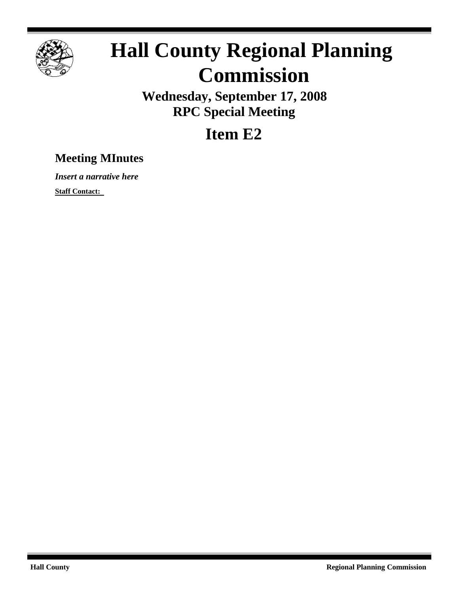

# **Hall County Regional Planning Commission**

**Wednesday, September 17, 2008 RPC Special Meeting**

## **Item E2**

### **Meeting MInutes**

*Insert a narrative here*

**Staff Contact:**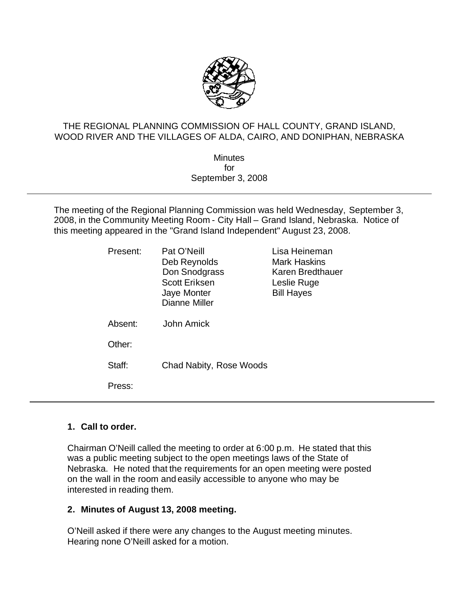

#### THE REGIONAL PLANNING COMMISSION OF HALL COUNTY, GRAND ISLAND, WOOD RIVER AND THE VILLAGES OF ALDA, CAIRO, AND DONIPHAN, NEBRASKA

**Minutes** for September 3, 2008

The meeting of the Regional Planning Commission was held Wednesday, September 3, 2008, in the Community Meeting Room - City Hall – Grand Island, Nebraska. Notice of this meeting appeared in the "Grand Island Independent" August 23, 2008.

| Present: | Pat O'Neill<br>Deb Reynolds<br>Don Snodgrass<br><b>Scott Eriksen</b><br>Jaye Monter<br><b>Dianne Miller</b> | Lisa Heineman<br><b>Mark Haskins</b><br>Karen Bredthauer<br>Leslie Ruge<br><b>Bill Hayes</b> |
|----------|-------------------------------------------------------------------------------------------------------------|----------------------------------------------------------------------------------------------|
| Absent:  | John Amick                                                                                                  |                                                                                              |
| Other:   |                                                                                                             |                                                                                              |
| Staff:   | Chad Nabity, Rose Woods                                                                                     |                                                                                              |
| Press:   |                                                                                                             |                                                                                              |

#### **1. Call to order.**

Chairman O'Neill called the meeting to order at 6:00 p.m. He stated that this was a public meeting subject to the open meetings laws of the State of Nebraska. He noted that the requirements for an open meeting were posted on the wall in the room and easily accessible to anyone who may be interested in reading them.

#### **2. Minutes of August 13, 2008 meeting.**

O'Neill asked if there were any changes to the August meeting minutes. Hearing none O'Neill asked for a motion.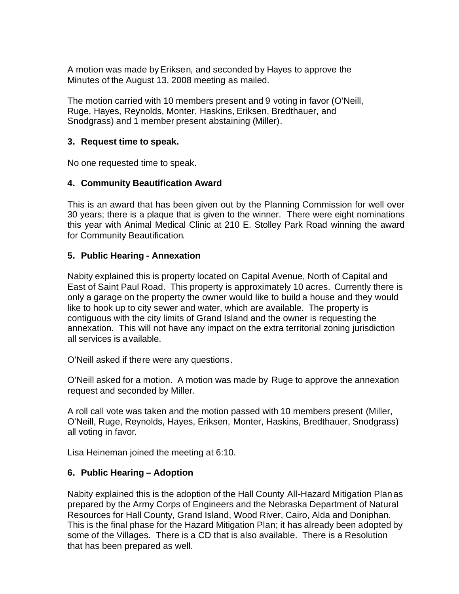A motion was made byEriksen, and seconded by Hayes to approve the Minutes of the August 13, 2008 meeting as mailed.

The motion carried with 10 members present and 9 voting in favor (O'Neill, Ruge, Hayes, Reynolds, Monter, Haskins, Eriksen, Bredthauer, and Snodgrass) and 1 member present abstaining (Miller).

#### **3. Request time to speak.**

No one requested time to speak.

#### **4. Community Beautification Award**

This is an award that has been given out by the Planning Commission for well over 30 years; there is a plaque that is given to the winner. There were eight nominations this year with Animal Medical Clinic at 210 E. Stolley Park Road winning the award for Community Beautification.

#### **5. Public Hearing - Annexation**

Nabity explained this is property located on Capital Avenue, North of Capital and East of Saint Paul Road. This property is approximately 10 acres. Currently there is only a garage on the property the owner would like to build a house and they would like to hook up to city sewer and water, which are available. The property is contiguous with the city limits of Grand Island and the owner is requesting the annexation. This will not have any impact on the extra territorial zoning jurisdiction all services is available.

O'Neill asked if there were any questions.

O'Neill asked for a motion. A motion was made by Ruge to approve the annexation request and seconded by Miller.

A roll call vote was taken and the motion passed with 10 members present (Miller, O'Neill, Ruge, Reynolds, Hayes, Eriksen, Monter, Haskins, Bredthauer, Snodgrass) all voting in favor.

Lisa Heineman joined the meeting at 6:10.

#### **6. Public Hearing – Adoption**

Nabity explained this is the adoption of the Hall County All-Hazard Mitigation Plan as prepared by the Army Corps of Engineers and the Nebraska Department of Natural Resources for Hall County, Grand Island, Wood River, Cairo, Alda and Doniphan. This is the final phase for the Hazard Mitigation Plan; it has already been adopted by some of the Villages. There is a CD that is also available. There is a Resolution that has been prepared as well.